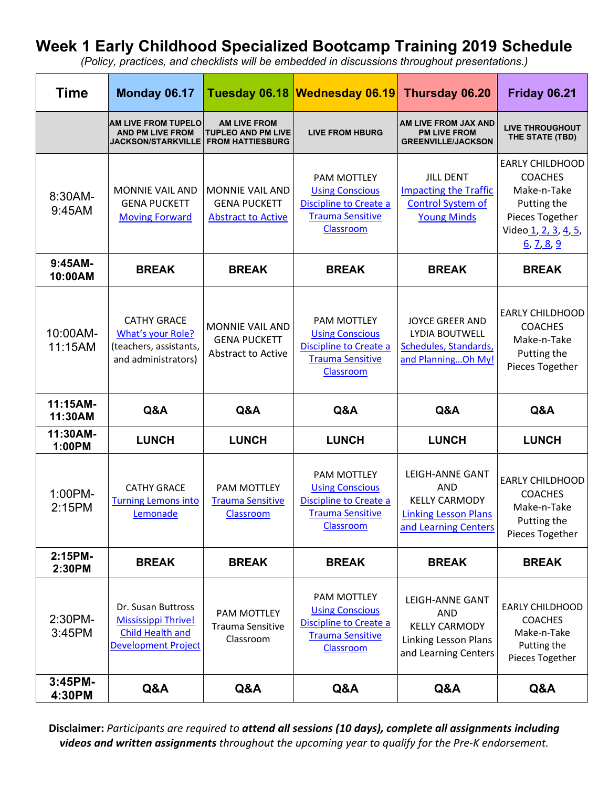## **Week 1 Early Childhood Specialized Bootcamp Training 2019 Schedule**

*(Policy, practices, and checklists will be embedded in discussions throughout presentations.)*

| <b>Time</b>          | Monday 06.17                                                                             |                                                                             | Tuesday 06.18 Wednesday 06.19                                                                           | Thursday 06.20                                                                                               | Friday 06.21                                                                                                                    |
|----------------------|------------------------------------------------------------------------------------------|-----------------------------------------------------------------------------|---------------------------------------------------------------------------------------------------------|--------------------------------------------------------------------------------------------------------------|---------------------------------------------------------------------------------------------------------------------------------|
|                      | <b>AM LIVE FROM TUPELO</b><br><b>AND PM LIVE FROM</b><br><b>JACKSON/STARKVILLE</b>       | <b>AM LIVE FROM</b><br><b>TUPLEO AND PM LIVE</b><br><b>FROM HATTIESBURG</b> | <b>LIVE FROM HBURG</b>                                                                                  | <b>AM LIVE FROM JAX AND</b><br><b>PM LIVE FROM</b><br><b>GREENVILLE/JACKSON</b>                              | <b>LIVE THROUGHOUT</b><br>THE STATE (TBD)                                                                                       |
| 8:30AM-<br>9:45AM    | <b>MONNIE VAIL AND</b><br><b>GENA PUCKETT</b><br><b>Moving Forward</b>                   | <b>MONNIE VAIL AND</b><br><b>GENA PUCKETT</b><br><b>Abstract to Active</b>  | PAM MOTTLEY<br><b>Using Conscious</b><br>Discipline to Create a<br><b>Trauma Sensitive</b><br>Classroom | <b>JILL DENT</b><br><b>Impacting the Traffic</b><br><b>Control System of</b><br><b>Young Minds</b>           | <b>EARLY CHILDHOOD</b><br><b>COACHES</b><br>Make-n-Take<br>Putting the<br>Pieces Together<br>Video 1, 2, 3, 4, 5,<br>6, 7, 8, 9 |
| $9:45AM-$<br>10:00AM | <b>BREAK</b>                                                                             | <b>BREAK</b>                                                                | <b>BREAK</b>                                                                                            | <b>BREAK</b>                                                                                                 | <b>BREAK</b>                                                                                                                    |
| 10:00AM-<br>11:15AM  | <b>CATHY GRACE</b><br>What's your Role?<br>(teachers, assistants,<br>and administrators) | <b>MONNIE VAIL AND</b><br><b>GENA PUCKETT</b><br><b>Abstract to Active</b>  | PAM MOTTLEY<br><b>Using Conscious</b><br>Discipline to Create a<br><b>Trauma Sensitive</b><br>Classroom | <b>JOYCE GREER AND</b><br><b>LYDIA BOUTWELL</b><br>Schedules, Standards,<br>and Planning Oh My!              | <b>EARLY CHILDHOOD</b><br><b>COACHES</b><br>Make-n-Take<br>Putting the<br>Pieces Together                                       |
| 11:15AM-<br>11:30AM  | Q&A                                                                                      | Q&A                                                                         | Q&A                                                                                                     | Q&A                                                                                                          | Q&A                                                                                                                             |
| 11:30AM-<br>1:00PM   | <b>LUNCH</b>                                                                             | <b>LUNCH</b>                                                                | <b>LUNCH</b>                                                                                            | <b>LUNCH</b>                                                                                                 | <b>LUNCH</b>                                                                                                                    |
| 1:00PM-<br>2:15PM    | <b>CATHY GRACE</b><br><b>Turning Lemons into</b><br>Lemonade                             | PAM MOTTLEY<br><b>Trauma Sensitive</b><br>Classroom                         | PAM MOTTLEY<br><b>Using Conscious</b><br>Discipline to Create a<br><b>Trauma Sensitive</b><br>Classroom | LEIGH-ANNE GANT<br><b>AND</b><br><b>KELLY CARMODY</b><br><b>Linking Lesson Plans</b><br>and Learning Centers | <b>EARLY CHILDHOOD</b><br><b>COACHES</b><br>Make-n-Take<br>Putting the<br>Pieces Together                                       |
| 2:15PM-<br>2:30PM    | <b>BREAK</b>                                                                             | <b>BREAK</b>                                                                | <b>BREAK</b>                                                                                            | <b>BREAK</b>                                                                                                 | <b>BREAK</b>                                                                                                                    |
|                      | Dr. Susan Buttross                                                                       | <b>PAM MOTTLEY</b>                                                          | PAM MOTTLEY<br><b>Using Conscious</b>                                                                   | LEIGH-ANNE GANT<br><b>AND</b>                                                                                | <b>EARLY CHILDHOOD</b>                                                                                                          |
| 2:30PM-<br>3:45PM    | <b>Mississippi Thrive!</b><br><b>Child Health and</b><br><b>Development Project</b>      | Trauma Sensitive<br>Classroom                                               | Discipline to Create a<br><b>Trauma Sensitive</b><br>Classroom                                          | <b>KELLY CARMODY</b><br><b>Linking Lesson Plans</b><br>and Learning Centers                                  | <b>COACHES</b><br>Make-n-Take<br>Putting the<br>Pieces Together                                                                 |

**Disclaimer:** *Participants are required to attend all sessions (10 days), complete all assignments including videos and written assignments throughout the upcoming year to qualify for the Pre-K endorsement.*